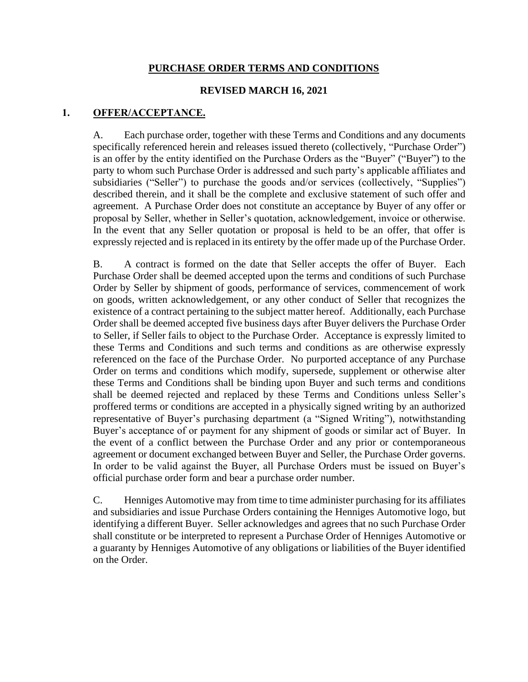## **PURCHASE ORDER TERMS AND CONDITIONS**

## **REVISED MARCH 16, 2021**

# **1. OFFER/ACCEPTANCE.**

A. Each purchase order, together with these Terms and Conditions and any documents specifically referenced herein and releases issued thereto (collectively, "Purchase Order") is an offer by the entity identified on the Purchase Orders as the "Buyer" ("Buyer") to the party to whom such Purchase Order is addressed and such party's applicable affiliates and subsidiaries ("Seller") to purchase the goods and/or services (collectively, "Supplies") described therein, and it shall be the complete and exclusive statement of such offer and agreement. A Purchase Order does not constitute an acceptance by Buyer of any offer or proposal by Seller, whether in Seller's quotation, acknowledgement, invoice or otherwise. In the event that any Seller quotation or proposal is held to be an offer, that offer is expressly rejected and is replaced in its entirety by the offer made up of the Purchase Order.

B. A contract is formed on the date that Seller accepts the offer of Buyer. Each Purchase Order shall be deemed accepted upon the terms and conditions of such Purchase Order by Seller by shipment of goods, performance of services, commencement of work on goods, written acknowledgement, or any other conduct of Seller that recognizes the existence of a contract pertaining to the subject matter hereof. Additionally, each Purchase Order shall be deemed accepted five business days after Buyer delivers the Purchase Order to Seller, if Seller fails to object to the Purchase Order. Acceptance is expressly limited to these Terms and Conditions and such terms and conditions as are otherwise expressly referenced on the face of the Purchase Order. No purported acceptance of any Purchase Order on terms and conditions which modify, supersede, supplement or otherwise alter these Terms and Conditions shall be binding upon Buyer and such terms and conditions shall be deemed rejected and replaced by these Terms and Conditions unless Seller's proffered terms or conditions are accepted in a physically signed writing by an authorized representative of Buyer's purchasing department (a "Signed Writing"), notwithstanding Buyer's acceptance of or payment for any shipment of goods or similar act of Buyer. In the event of a conflict between the Purchase Order and any prior or contemporaneous agreement or document exchanged between Buyer and Seller, the Purchase Order governs. In order to be valid against the Buyer, all Purchase Orders must be issued on Buyer's official purchase order form and bear a purchase order number.

C. Henniges Automotive may from time to time administer purchasing for its affiliates and subsidiaries and issue Purchase Orders containing the Henniges Automotive logo, but identifying a different Buyer. Seller acknowledges and agrees that no such Purchase Order shall constitute or be interpreted to represent a Purchase Order of Henniges Automotive or a guaranty by Henniges Automotive of any obligations or liabilities of the Buyer identified on the Order.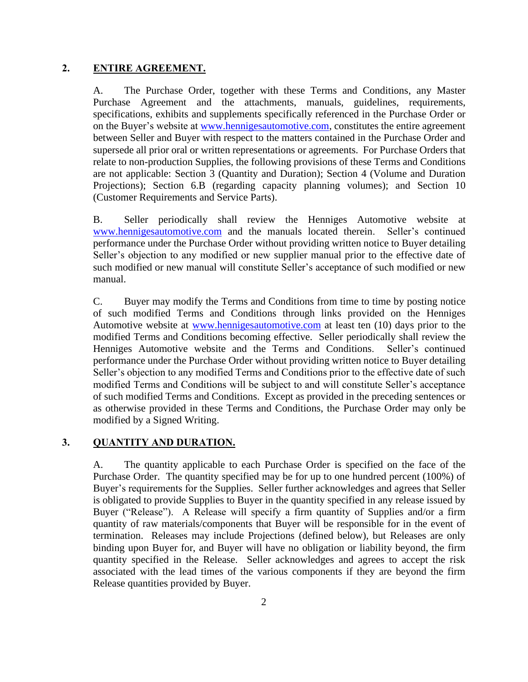## **2. ENTIRE AGREEMENT.**

A. The Purchase Order, together with these Terms and Conditions, any Master Purchase Agreement and the attachments, manuals, guidelines, requirements, specifications, exhibits and supplements specifically referenced in the Purchase Order or on the Buyer's website at www.hennigesautomotive.com, constitutes the entire agreement between Seller and Buyer with respect to the matters contained in the Purchase Order and supersede all prior oral or written representations or agreements. For Purchase Orders that relate to non-production Supplies, the following provisions of these Terms and Conditions are not applicable: Section [3](#page-1-0) (Quantity and Duration); Section [4](#page-2-0) (Volume and Duration Projections); Section [6.B](#page-5-0) (regarding capacity planning volumes); and Section 10 (Customer Requirements and Service Parts).

B. Seller periodically shall review the Henniges Automotive website at [www.hennigesautomotive.com](http://www.hennigesautomotive.com/) and the manuals located therein. Seller's continued performance under the Purchase Order without providing written notice to Buyer detailing Seller's objection to any modified or new supplier manual prior to the effective date of such modified or new manual will constitute Seller's acceptance of such modified or new manual.

C. Buyer may modify the Terms and Conditions from time to time by posting notice of such modified Terms and Conditions through links provided on the Henniges Automotive website at [www.hennigesautomotive.com](http://www.hennigesautomotive.com/) at least ten (10) days prior to the modified Terms and Conditions becoming effective. Seller periodically shall review the Henniges Automotive website and the Terms and Conditions. Seller's continued performance under the Purchase Order without providing written notice to Buyer detailing Seller's objection to any modified Terms and Conditions prior to the effective date of such modified Terms and Conditions will be subject to and will constitute Seller's acceptance of such modified Terms and Conditions. Except as provided in the preceding sentences or as otherwise provided in these Terms and Conditions, the Purchase Order may only be modified by a Signed Writing.

## <span id="page-1-0"></span>**3. QUANTITY AND DURATION.**

A. The quantity applicable to each Purchase Order is specified on the face of the Purchase Order. The quantity specified may be for up to one hundred percent (100%) of Buyer's requirements for the Supplies. Seller further acknowledges and agrees that Seller is obligated to provide Supplies to Buyer in the quantity specified in any release issued by Buyer ("Release"). A Release will specify a firm quantity of Supplies and/or a firm quantity of raw materials/components that Buyer will be responsible for in the event of termination. Releases may include Projections (defined below), but Releases are only binding upon Buyer for, and Buyer will have no obligation or liability beyond, the firm quantity specified in the Release. Seller acknowledges and agrees to accept the risk associated with the lead times of the various components if they are beyond the firm Release quantities provided by Buyer.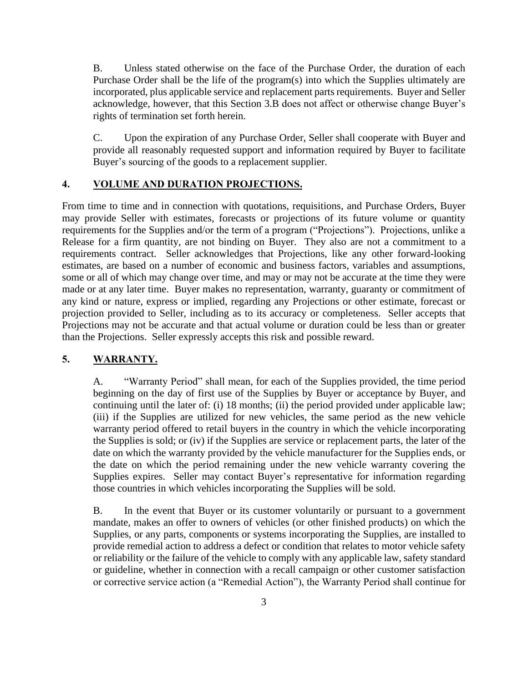B. Unless stated otherwise on the face of the Purchase Order, the duration of each Purchase Order shall be the life of the program(s) into which the Supplies ultimately are incorporated, plus applicable service and replacement parts requirements. Buyer and Seller acknowledge, however, that this Section 3.B does not affect or otherwise change Buyer's rights of termination set forth herein.

C. Upon the expiration of any Purchase Order, Seller shall cooperate with Buyer and provide all reasonably requested support and information required by Buyer to facilitate Buyer's sourcing of the goods to a replacement supplier.

## <span id="page-2-0"></span>**4. VOLUME AND DURATION PROJECTIONS.**

From time to time and in connection with quotations, requisitions, and Purchase Orders, Buyer may provide Seller with estimates, forecasts or projections of its future volume or quantity requirements for the Supplies and/or the term of a program ("Projections"). Projections, unlike a Release for a firm quantity, are not binding on Buyer. They also are not a commitment to a requirements contract. Seller acknowledges that Projections, like any other forward-looking estimates, are based on a number of economic and business factors, variables and assumptions, some or all of which may change over time, and may or may not be accurate at the time they were made or at any later time. Buyer makes no representation, warranty, guaranty or commitment of any kind or nature, express or implied, regarding any Projections or other estimate, forecast or projection provided to Seller, including as to its accuracy or completeness. Seller accepts that Projections may not be accurate and that actual volume or duration could be less than or greater than the Projections. Seller expressly accepts this risk and possible reward.

### **5. WARRANTY.**

A. "Warranty Period" shall mean, for each of the Supplies provided, the time period beginning on the day of first use of the Supplies by Buyer or acceptance by Buyer, and continuing until the later of: (i) 18 months; (ii) the period provided under applicable law; (iii) if the Supplies are utilized for new vehicles, the same period as the new vehicle warranty period offered to retail buyers in the country in which the vehicle incorporating the Supplies is sold; or (iv) if the Supplies are service or replacement parts, the later of the date on which the warranty provided by the vehicle manufacturer for the Supplies ends, or the date on which the period remaining under the new vehicle warranty covering the Supplies expires. Seller may contact Buyer's representative for information regarding those countries in which vehicles incorporating the Supplies will be sold.

B. In the event that Buyer or its customer voluntarily or pursuant to a government mandate, makes an offer to owners of vehicles (or other finished products) on which the Supplies, or any parts, components or systems incorporating the Supplies, are installed to provide remedial action to address a defect or condition that relates to motor vehicle safety or reliability or the failure of the vehicle to comply with any applicable law, safety standard or guideline, whether in connection with a recall campaign or other customer satisfaction or corrective service action (a "Remedial Action"), the Warranty Period shall continue for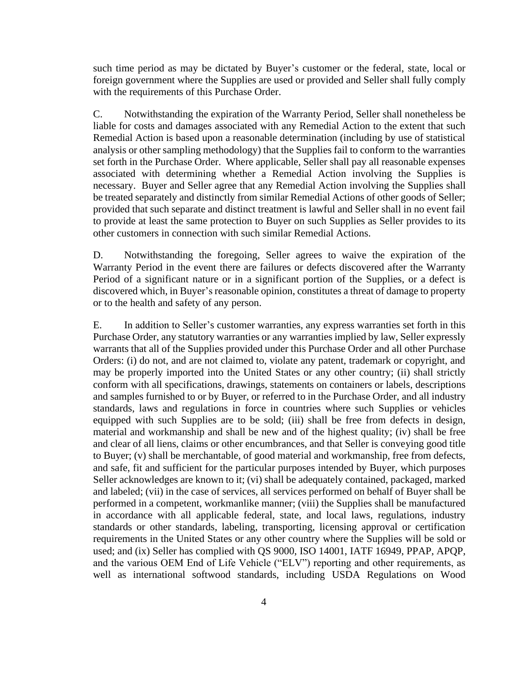such time period as may be dictated by Buyer's customer or the federal, state, local or foreign government where the Supplies are used or provided and Seller shall fully comply with the requirements of this Purchase Order.

C. Notwithstanding the expiration of the Warranty Period, Seller shall nonetheless be liable for costs and damages associated with any Remedial Action to the extent that such Remedial Action is based upon a reasonable determination (including by use of statistical analysis or other sampling methodology) that the Supplies fail to conform to the warranties set forth in the Purchase Order. Where applicable, Seller shall pay all reasonable expenses associated with determining whether a Remedial Action involving the Supplies is necessary. Buyer and Seller agree that any Remedial Action involving the Supplies shall be treated separately and distinctly from similar Remedial Actions of other goods of Seller; provided that such separate and distinct treatment is lawful and Seller shall in no event fail to provide at least the same protection to Buyer on such Supplies as Seller provides to its other customers in connection with such similar Remedial Actions.

D. Notwithstanding the foregoing, Seller agrees to waive the expiration of the Warranty Period in the event there are failures or defects discovered after the Warranty Period of a significant nature or in a significant portion of the Supplies, or a defect is discovered which, in Buyer's reasonable opinion, constitutes a threat of damage to property or to the health and safety of any person.

E. In addition to Seller's customer warranties, any express warranties set forth in this Purchase Order, any statutory warranties or any warranties implied by law, Seller expressly warrants that all of the Supplies provided under this Purchase Order and all other Purchase Orders: (i) do not, and are not claimed to, violate any patent, trademark or copyright, and may be properly imported into the United States or any other country; (ii) shall strictly conform with all specifications, drawings, statements on containers or labels, descriptions and samples furnished to or by Buyer, or referred to in the Purchase Order, and all industry standards, laws and regulations in force in countries where such Supplies or vehicles equipped with such Supplies are to be sold; (iii) shall be free from defects in design, material and workmanship and shall be new and of the highest quality; (iv) shall be free and clear of all liens, claims or other encumbrances, and that Seller is conveying good title to Buyer; (v) shall be merchantable, of good material and workmanship, free from defects, and safe, fit and sufficient for the particular purposes intended by Buyer, which purposes Seller acknowledges are known to it; (vi) shall be adequately contained, packaged, marked and labeled; (vii) in the case of services, all services performed on behalf of Buyer shall be performed in a competent, workmanlike manner; (viii) the Supplies shall be manufactured in accordance with all applicable federal, state, and local laws, regulations, industry standards or other standards, labeling, transporting, licensing approval or certification requirements in the United States or any other country where the Supplies will be sold or used; and (ix) Seller has complied with QS 9000, ISO 14001, IATF 16949, PPAP, APQP, and the various OEM End of Life Vehicle ("ELV") reporting and other requirements, as well as international softwood standards, including USDA Regulations on Wood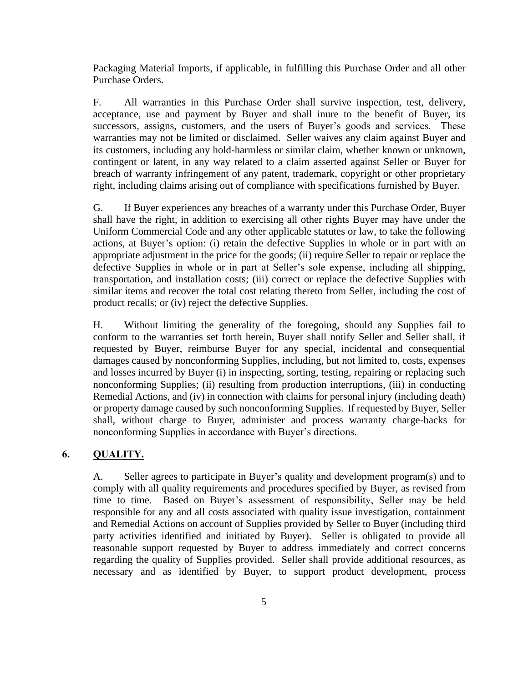Packaging Material Imports, if applicable, in fulfilling this Purchase Order and all other Purchase Orders.

F. All warranties in this Purchase Order shall survive inspection, test, delivery, acceptance, use and payment by Buyer and shall inure to the benefit of Buyer, its successors, assigns, customers, and the users of Buyer's goods and services. These warranties may not be limited or disclaimed. Seller waives any claim against Buyer and its customers, including any hold-harmless or similar claim, whether known or unknown, contingent or latent, in any way related to a claim asserted against Seller or Buyer for breach of warranty infringement of any patent, trademark, copyright or other proprietary right, including claims arising out of compliance with specifications furnished by Buyer.

G. If Buyer experiences any breaches of a warranty under this Purchase Order, Buyer shall have the right, in addition to exercising all other rights Buyer may have under the Uniform Commercial Code and any other applicable statutes or law, to take the following actions, at Buyer's option: (i) retain the defective Supplies in whole or in part with an appropriate adjustment in the price for the goods; (ii) require Seller to repair or replace the defective Supplies in whole or in part at Seller's sole expense, including all shipping, transportation, and installation costs; (iii) correct or replace the defective Supplies with similar items and recover the total cost relating thereto from Seller, including the cost of product recalls; or (iv) reject the defective Supplies.

H. Without limiting the generality of the foregoing, should any Supplies fail to conform to the warranties set forth herein, Buyer shall notify Seller and Seller shall, if requested by Buyer, reimburse Buyer for any special, incidental and consequential damages caused by nonconforming Supplies, including, but not limited to, costs, expenses and losses incurred by Buyer (i) in inspecting, sorting, testing, repairing or replacing such nonconforming Supplies; (ii) resulting from production interruptions, (iii) in conducting Remedial Actions, and (iv) in connection with claims for personal injury (including death) or property damage caused by such nonconforming Supplies. If requested by Buyer, Seller shall, without charge to Buyer, administer and process warranty charge-backs for nonconforming Supplies in accordance with Buyer's directions.

# **6. QUALITY.**

A. Seller agrees to participate in Buyer's quality and development program(s) and to comply with all quality requirements and procedures specified by Buyer, as revised from time to time. Based on Buyer's assessment of responsibility, Seller may be held responsible for any and all costs associated with quality issue investigation, containment and Remedial Actions on account of Supplies provided by Seller to Buyer (including third party activities identified and initiated by Buyer). Seller is obligated to provide all reasonable support requested by Buyer to address immediately and correct concerns regarding the quality of Supplies provided. Seller shall provide additional resources, as necessary and as identified by Buyer, to support product development, process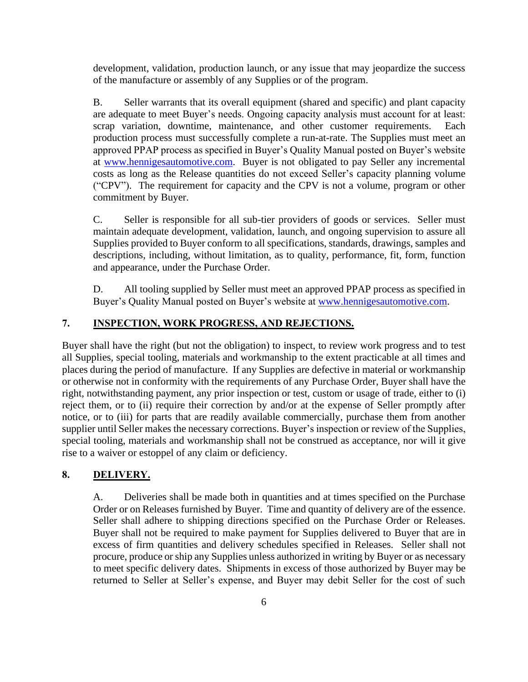development, validation, production launch, or any issue that may jeopardize the success of the manufacture or assembly of any Supplies or of the program.

<span id="page-5-0"></span>B. Seller warrants that its overall equipment (shared and specific) and plant capacity are adequate to meet Buyer's needs. Ongoing capacity analysis must account for at least: scrap variation, downtime, maintenance, and other customer requirements. Each production process must successfully complete a run-at-rate. The Supplies must meet an approved PPAP process as specified in Buyer's Quality Manual posted on Buyer's website at www.hennigesautomotive.com. Buyer is not obligated to pay Seller any incremental costs as long as the Release quantities do not exceed Seller's capacity planning volume ("CPV"). The requirement for capacity and the CPV is not a volume, program or other commitment by Buyer.

C. Seller is responsible for all sub-tier providers of goods or services. Seller must maintain adequate development, validation, launch, and ongoing supervision to assure all Supplies provided to Buyer conform to all specifications, standards, drawings, samples and descriptions, including, without limitation, as to quality, performance, fit, form, function and appearance, under the Purchase Order.

D. All tooling supplied by Seller must meet an approved PPAP process as specified in Buyer's Quality Manual posted on Buyer's website at www.hennigesautomotive.com.

# **7. INSPECTION, WORK PROGRESS, AND REJECTIONS.**

Buyer shall have the right (but not the obligation) to inspect, to review work progress and to test all Supplies, special tooling, materials and workmanship to the extent practicable at all times and places during the period of manufacture. If any Supplies are defective in material or workmanship or otherwise not in conformity with the requirements of any Purchase Order, Buyer shall have the right, notwithstanding payment, any prior inspection or test, custom or usage of trade, either to (i) reject them, or to (ii) require their correction by and/or at the expense of Seller promptly after notice, or to (iii) for parts that are readily available commercially, purchase them from another supplier until Seller makes the necessary corrections. Buyer's inspection or review of the Supplies, special tooling, materials and workmanship shall not be construed as acceptance, nor will it give rise to a waiver or estoppel of any claim or deficiency.

### **8. DELIVERY.**

A. Deliveries shall be made both in quantities and at times specified on the Purchase Order or on Releases furnished by Buyer. Time and quantity of delivery are of the essence. Seller shall adhere to shipping directions specified on the Purchase Order or Releases. Buyer shall not be required to make payment for Supplies delivered to Buyer that are in excess of firm quantities and delivery schedules specified in Releases. Seller shall not procure, produce or ship any Supplies unless authorized in writing by Buyer or as necessary to meet specific delivery dates. Shipments in excess of those authorized by Buyer may be returned to Seller at Seller's expense, and Buyer may debit Seller for the cost of such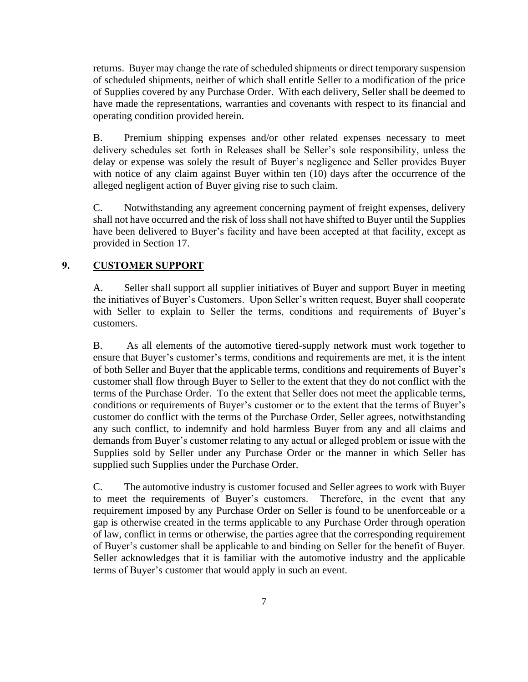returns. Buyer may change the rate of scheduled shipments or direct temporary suspension of scheduled shipments, neither of which shall entitle Seller to a modification of the price of Supplies covered by any Purchase Order. With each delivery, Seller shall be deemed to have made the representations, warranties and covenants with respect to its financial and operating condition provided herein.

B. Premium shipping expenses and/or other related expenses necessary to meet delivery schedules set forth in Releases shall be Seller's sole responsibility, unless the delay or expense was solely the result of Buyer's negligence and Seller provides Buyer with notice of any claim against Buyer within ten (10) days after the occurrence of the alleged negligent action of Buyer giving rise to such claim.

C. Notwithstanding any agreement concerning payment of freight expenses, delivery shall not have occurred and the risk of loss shall not have shifted to Buyer until the Supplies have been delivered to Buyer's facility and have been accepted at that facility, except as provided in Section 17.

# <span id="page-6-0"></span>**9. CUSTOMER SUPPORT**

A. Seller shall support all supplier initiatives of Buyer and support Buyer in meeting the initiatives of Buyer's Customers. Upon Seller's written request, Buyer shall cooperate with Seller to explain to Seller the terms, conditions and requirements of Buyer's customers.

B. As all elements of the automotive tiered-supply network must work together to ensure that Buyer's customer's terms, conditions and requirements are met, it is the intent of both Seller and Buyer that the applicable terms, conditions and requirements of Buyer's customer shall flow through Buyer to Seller to the extent that they do not conflict with the terms of the Purchase Order. To the extent that Seller does not meet the applicable terms, conditions or requirements of Buyer's customer or to the extent that the terms of Buyer's customer do conflict with the terms of the Purchase Order, Seller agrees, notwithstanding any such conflict, to indemnify and hold harmless Buyer from any and all claims and demands from Buyer's customer relating to any actual or alleged problem or issue with the Supplies sold by Seller under any Purchase Order or the manner in which Seller has supplied such Supplies under the Purchase Order.

C. The automotive industry is customer focused and Seller agrees to work with Buyer to meet the requirements of Buyer's customers. Therefore, in the event that any requirement imposed by any Purchase Order on Seller is found to be unenforceable or a gap is otherwise created in the terms applicable to any Purchase Order through operation of law, conflict in terms or otherwise, the parties agree that the corresponding requirement of Buyer's customer shall be applicable to and binding on Seller for the benefit of Buyer. Seller acknowledges that it is familiar with the automotive industry and the applicable terms of Buyer's customer that would apply in such an event.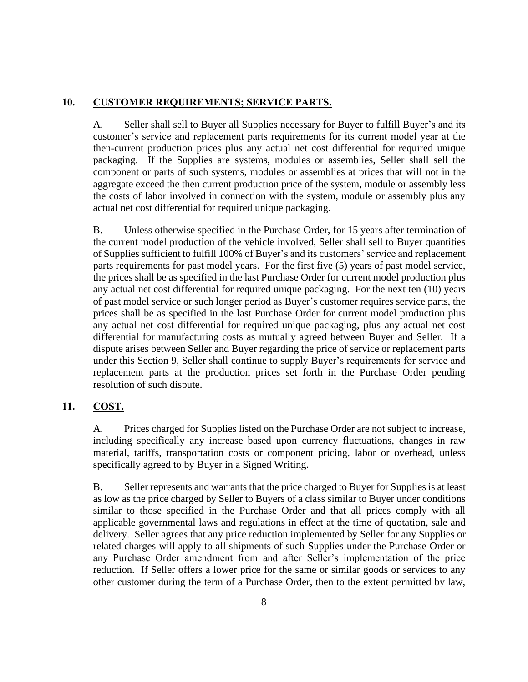# **10. CUSTOMER REQUIREMENTS; SERVICE PARTS.**

A. Seller shall sell to Buyer all Supplies necessary for Buyer to fulfill Buyer's and its customer's service and replacement parts requirements for its current model year at the then-current production prices plus any actual net cost differential for required unique packaging. If the Supplies are systems, modules or assemblies, Seller shall sell the component or parts of such systems, modules or assemblies at prices that will not in the aggregate exceed the then current production price of the system, module or assembly less the costs of labor involved in connection with the system, module or assembly plus any actual net cost differential for required unique packaging.

B. Unless otherwise specified in the Purchase Order, for 15 years after termination of the current model production of the vehicle involved, Seller shall sell to Buyer quantities of Supplies sufficient to fulfill 100% of Buyer's and its customers' service and replacement parts requirements for past model years. For the first five (5) years of past model service, the prices shall be as specified in the last Purchase Order for current model production plus any actual net cost differential for required unique packaging. For the next ten (10) years of past model service or such longer period as Buyer's customer requires service parts, the prices shall be as specified in the last Purchase Order for current model production plus any actual net cost differential for required unique packaging, plus any actual net cost differential for manufacturing costs as mutually agreed between Buyer and Seller. If a dispute arises between Seller and Buyer regarding the price of service or replacement parts under this Section [9,](#page-6-0) Seller shall continue to supply Buyer's requirements for service and replacement parts at the production prices set forth in the Purchase Order pending resolution of such dispute.

# **11. COST.**

A. Prices charged for Supplies listed on the Purchase Order are not subject to increase, including specifically any increase based upon currency fluctuations, changes in raw material, tariffs, transportation costs or component pricing, labor or overhead, unless specifically agreed to by Buyer in a Signed Writing.

B. Seller represents and warrants that the price charged to Buyer for Supplies is at least as low as the price charged by Seller to Buyers of a class similar to Buyer under conditions similar to those specified in the Purchase Order and that all prices comply with all applicable governmental laws and regulations in effect at the time of quotation, sale and delivery. Seller agrees that any price reduction implemented by Seller for any Supplies or related charges will apply to all shipments of such Supplies under the Purchase Order or any Purchase Order amendment from and after Seller's implementation of the price reduction. If Seller offers a lower price for the same or similar goods or services to any other customer during the term of a Purchase Order, then to the extent permitted by law,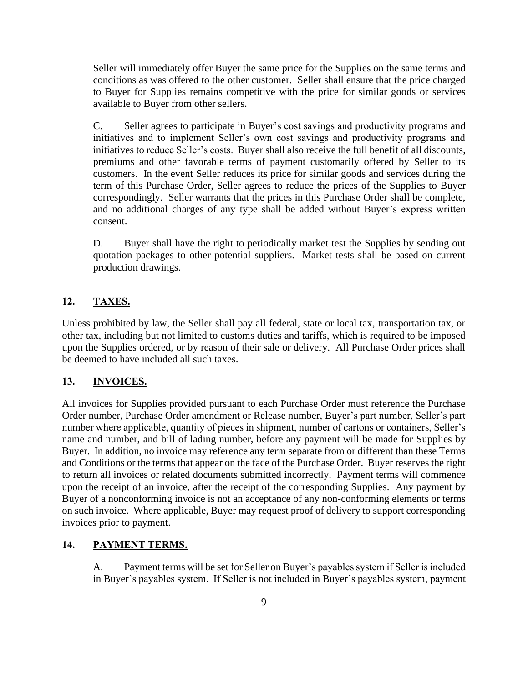Seller will immediately offer Buyer the same price for the Supplies on the same terms and conditions as was offered to the other customer. Seller shall ensure that the price charged to Buyer for Supplies remains competitive with the price for similar goods or services available to Buyer from other sellers.

C. Seller agrees to participate in Buyer's cost savings and productivity programs and initiatives and to implement Seller's own cost savings and productivity programs and initiatives to reduce Seller's costs. Buyer shall also receive the full benefit of all discounts, premiums and other favorable terms of payment customarily offered by Seller to its customers. In the event Seller reduces its price for similar goods and services during the term of this Purchase Order, Seller agrees to reduce the prices of the Supplies to Buyer correspondingly. Seller warrants that the prices in this Purchase Order shall be complete, and no additional charges of any type shall be added without Buyer's express written consent.

D. Buyer shall have the right to periodically market test the Supplies by sending out quotation packages to other potential suppliers. Market tests shall be based on current production drawings.

## **12. TAXES.**

Unless prohibited by law, the Seller shall pay all federal, state or local tax, transportation tax, or other tax, including but not limited to customs duties and tariffs, which is required to be imposed upon the Supplies ordered, or by reason of their sale or delivery. All Purchase Order prices shall be deemed to have included all such taxes.

### **13. INVOICES.**

All invoices for Supplies provided pursuant to each Purchase Order must reference the Purchase Order number, Purchase Order amendment or Release number, Buyer's part number, Seller's part number where applicable, quantity of pieces in shipment, number of cartons or containers, Seller's name and number, and bill of lading number, before any payment will be made for Supplies by Buyer. In addition, no invoice may reference any term separate from or different than these Terms and Conditions or the terms that appear on the face of the Purchase Order. Buyer reserves the right to return all invoices or related documents submitted incorrectly. Payment terms will commence upon the receipt of an invoice, after the receipt of the corresponding Supplies. Any payment by Buyer of a nonconforming invoice is not an acceptance of any non-conforming elements or terms on such invoice. Where applicable, Buyer may request proof of delivery to support corresponding invoices prior to payment.

## **14. PAYMENT TERMS.**

A. Payment terms will be set for Seller on Buyer's payables system if Seller is included in Buyer's payables system. If Seller is not included in Buyer's payables system, payment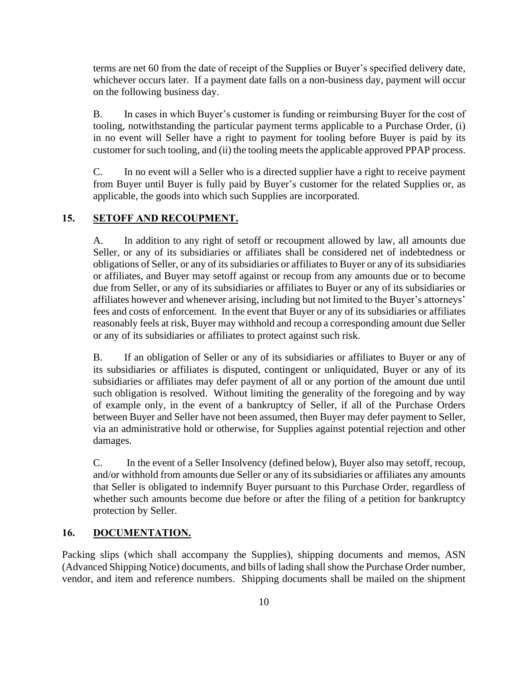terms are net 60 from the date of receipt of the Supplies or Buyer's specified delivery date, whichever occurs later. If a payment date falls on a non-business day, payment will occur on the following business day.

B. In cases in which Buyer's customer is funding or reimbursing Buyer for the cost of tooling, notwithstanding the particular payment terms applicable to a Purchase Order, (i) in no event will Seller have a right to payment for tooling before Buyer is paid by its customer for such tooling, and (ii) the tooling meets the applicable approved PPAP process.

C. In no event will a Seller who is a directed supplier have a right to receive payment from Buyer until Buyer is fully paid by Buyer's customer for the related Supplies or, as applicable, the goods into which such Supplies are incorporated.

# **15. SETOFF AND RECOUPMENT.**

A. In addition to any right of setoff or recoupment allowed by law, all amounts due Seller, or any of its subsidiaries or affiliates shall be considered net of indebtedness or obligations of Seller, or any of its subsidiaries or affiliates to Buyer or any of its subsidiaries or affiliates, and Buyer may setoff against or recoup from any amounts due or to become due from Seller, or any of its subsidiaries or affiliates to Buyer or any of its subsidiaries or affiliates however and whenever arising, including but not limited to the Buyer's attorneys' fees and costs of enforcement. In the event that Buyer or any of its subsidiaries or affiliates reasonably feels at risk, Buyer may withhold and recoup a corresponding amount due Seller or any of its subsidiaries or affiliates to protect against such risk.

B. If an obligation of Seller or any of its subsidiaries or affiliates to Buyer or any of its subsidiaries or affiliates is disputed, contingent or unliquidated, Buyer or any of its subsidiaries or affiliates may defer payment of all or any portion of the amount due until such obligation is resolved. Without limiting the generality of the foregoing and by way of example only, in the event of a bankruptcy of Seller, if all of the Purchase Orders between Buyer and Seller have not been assumed, then Buyer may defer payment to Seller, via an administrative hold or otherwise, for Supplies against potential rejection and other damages.

C. In the event of a Seller Insolvency (defined below), Buyer also may setoff, recoup, and/or withhold from amounts due Seller or any of its subsidiaries or affiliates any amounts that Seller is obligated to indemnify Buyer pursuant to this Purchase Order, regardless of whether such amounts become due before or after the filing of a petition for bankruptcy protection by Seller.

# **16. DOCUMENTATION.**

Packing slips (which shall accompany the Supplies), shipping documents and memos, ASN (Advanced Shipping Notice) documents, and bills of lading shall show the Purchase Order number, vendor, and item and reference numbers. Shipping documents shall be mailed on the shipment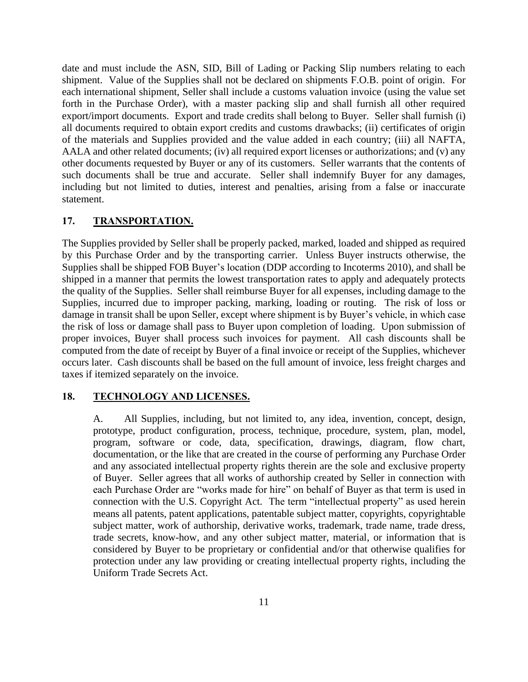date and must include the ASN, SID, Bill of Lading or Packing Slip numbers relating to each shipment. Value of the Supplies shall not be declared on shipments F.O.B. point of origin. For each international shipment, Seller shall include a customs valuation invoice (using the value set forth in the Purchase Order), with a master packing slip and shall furnish all other required export/import documents. Export and trade credits shall belong to Buyer. Seller shall furnish (i) all documents required to obtain export credits and customs drawbacks; (ii) certificates of origin of the materials and Supplies provided and the value added in each country; (iii) all NAFTA, AALA and other related documents; (iv) all required export licenses or authorizations; and (v) any other documents requested by Buyer or any of its customers. Seller warrants that the contents of such documents shall be true and accurate. Seller shall indemnify Buyer for any damages, including but not limited to duties, interest and penalties, arising from a false or inaccurate statement.

## **17. TRANSPORTATION.**

The Supplies provided by Seller shall be properly packed, marked, loaded and shipped as required by this Purchase Order and by the transporting carrier. Unless Buyer instructs otherwise, the Supplies shall be shipped FOB Buyer's location (DDP according to Incoterms 2010), and shall be shipped in a manner that permits the lowest transportation rates to apply and adequately protects the quality of the Supplies. Seller shall reimburse Buyer for all expenses, including damage to the Supplies, incurred due to improper packing, marking, loading or routing. The risk of loss or damage in transit shall be upon Seller, except where shipment is by Buyer's vehicle, in which case the risk of loss or damage shall pass to Buyer upon completion of loading. Upon submission of proper invoices, Buyer shall process such invoices for payment. All cash discounts shall be computed from the date of receipt by Buyer of a final invoice or receipt of the Supplies, whichever occurs later. Cash discounts shall be based on the full amount of invoice, less freight charges and taxes if itemized separately on the invoice.

## <span id="page-10-0"></span>**18. TECHNOLOGY AND LICENSES.**

A. All Supplies, including, but not limited to, any idea, invention, concept, design, prototype, product configuration, process, technique, procedure, system, plan, model, program, software or code, data, specification, drawings, diagram, flow chart, documentation, or the like that are created in the course of performing any Purchase Order and any associated intellectual property rights therein are the sole and exclusive property of Buyer. Seller agrees that all works of authorship created by Seller in connection with each Purchase Order are "works made for hire" on behalf of Buyer as that term is used in connection with the U.S. Copyright Act. The term "intellectual property" as used herein means all patents, patent applications, patentable subject matter, copyrights, copyrightable subject matter, work of authorship, derivative works, trademark, trade name, trade dress, trade secrets, know-how, and any other subject matter, material, or information that is considered by Buyer to be proprietary or confidential and/or that otherwise qualifies for protection under any law providing or creating intellectual property rights, including the Uniform Trade Secrets Act.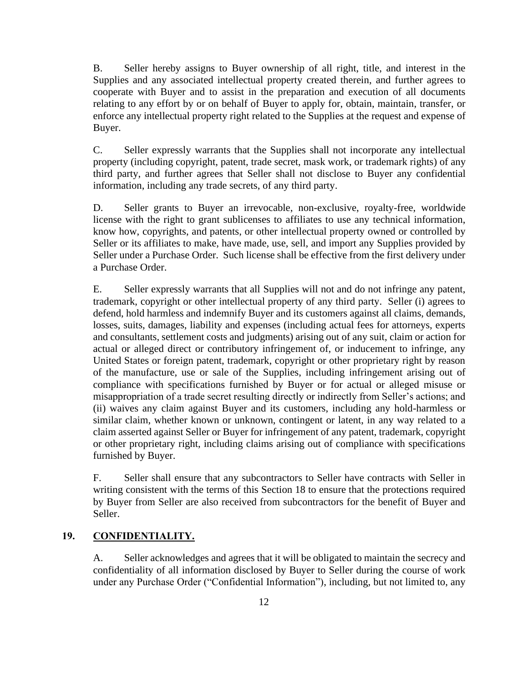B. Seller hereby assigns to Buyer ownership of all right, title, and interest in the Supplies and any associated intellectual property created therein, and further agrees to cooperate with Buyer and to assist in the preparation and execution of all documents relating to any effort by or on behalf of Buyer to apply for, obtain, maintain, transfer, or enforce any intellectual property right related to the Supplies at the request and expense of Buyer.

C. Seller expressly warrants that the Supplies shall not incorporate any intellectual property (including copyright, patent, trade secret, mask work, or trademark rights) of any third party, and further agrees that Seller shall not disclose to Buyer any confidential information, including any trade secrets, of any third party.

D. Seller grants to Buyer an irrevocable, non-exclusive, royalty-free, worldwide license with the right to grant sublicenses to affiliates to use any technical information, know how, copyrights, and patents, or other intellectual property owned or controlled by Seller or its affiliates to make, have made, use, sell, and import any Supplies provided by Seller under a Purchase Order. Such license shall be effective from the first delivery under a Purchase Order.

E. Seller expressly warrants that all Supplies will not and do not infringe any patent, trademark, copyright or other intellectual property of any third party. Seller (i) agrees to defend, hold harmless and indemnify Buyer and its customers against all claims, demands, losses, suits, damages, liability and expenses (including actual fees for attorneys, experts and consultants, settlement costs and judgments) arising out of any suit, claim or action for actual or alleged direct or contributory infringement of, or inducement to infringe, any United States or foreign patent, trademark, copyright or other proprietary right by reason of the manufacture, use or sale of the Supplies, including infringement arising out of compliance with specifications furnished by Buyer or for actual or alleged misuse or misappropriation of a trade secret resulting directly or indirectly from Seller's actions; and (ii) waives any claim against Buyer and its customers, including any hold-harmless or similar claim, whether known or unknown, contingent or latent, in any way related to a claim asserted against Seller or Buyer for infringement of any patent, trademark, copyright or other proprietary right, including claims arising out of compliance with specifications furnished by Buyer.

F. Seller shall ensure that any subcontractors to Seller have contracts with Seller in writing consistent with the terms of this Section [18](#page-10-0) to ensure that the protections required by Buyer from Seller are also received from subcontractors for the benefit of Buyer and Seller.

# **19. CONFIDENTIALITY.**

A. Seller acknowledges and agrees that it will be obligated to maintain the secrecy and confidentiality of all information disclosed by Buyer to Seller during the course of work under any Purchase Order ("Confidential Information"), including, but not limited to, any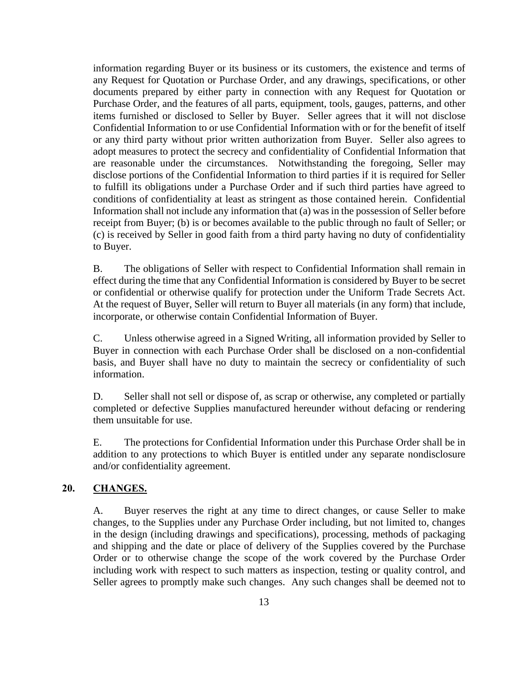information regarding Buyer or its business or its customers, the existence and terms of any Request for Quotation or Purchase Order, and any drawings, specifications, or other documents prepared by either party in connection with any Request for Quotation or Purchase Order, and the features of all parts, equipment, tools, gauges, patterns, and other items furnished or disclosed to Seller by Buyer. Seller agrees that it will not disclose Confidential Information to or use Confidential Information with or for the benefit of itself or any third party without prior written authorization from Buyer. Seller also agrees to adopt measures to protect the secrecy and confidentiality of Confidential Information that are reasonable under the circumstances. Notwithstanding the foregoing, Seller may disclose portions of the Confidential Information to third parties if it is required for Seller to fulfill its obligations under a Purchase Order and if such third parties have agreed to conditions of confidentiality at least as stringent as those contained herein. Confidential Information shall not include any information that (a) was in the possession of Seller before receipt from Buyer; (b) is or becomes available to the public through no fault of Seller; or (c) is received by Seller in good faith from a third party having no duty of confidentiality to Buyer.

B. The obligations of Seller with respect to Confidential Information shall remain in effect during the time that any Confidential Information is considered by Buyer to be secret or confidential or otherwise qualify for protection under the Uniform Trade Secrets Act. At the request of Buyer, Seller will return to Buyer all materials (in any form) that include, incorporate, or otherwise contain Confidential Information of Buyer.

C. Unless otherwise agreed in a Signed Writing, all information provided by Seller to Buyer in connection with each Purchase Order shall be disclosed on a non-confidential basis, and Buyer shall have no duty to maintain the secrecy or confidentiality of such information.

D. Seller shall not sell or dispose of, as scrap or otherwise, any completed or partially completed or defective Supplies manufactured hereunder without defacing or rendering them unsuitable for use.

E. The protections for Confidential Information under this Purchase Order shall be in addition to any protections to which Buyer is entitled under any separate nondisclosure and/or confidentiality agreement.

## <span id="page-12-0"></span>**20. CHANGES.**

A. Buyer reserves the right at any time to direct changes, or cause Seller to make changes, to the Supplies under any Purchase Order including, but not limited to, changes in the design (including drawings and specifications), processing, methods of packaging and shipping and the date or place of delivery of the Supplies covered by the Purchase Order or to otherwise change the scope of the work covered by the Purchase Order including work with respect to such matters as inspection, testing or quality control, and Seller agrees to promptly make such changes. Any such changes shall be deemed not to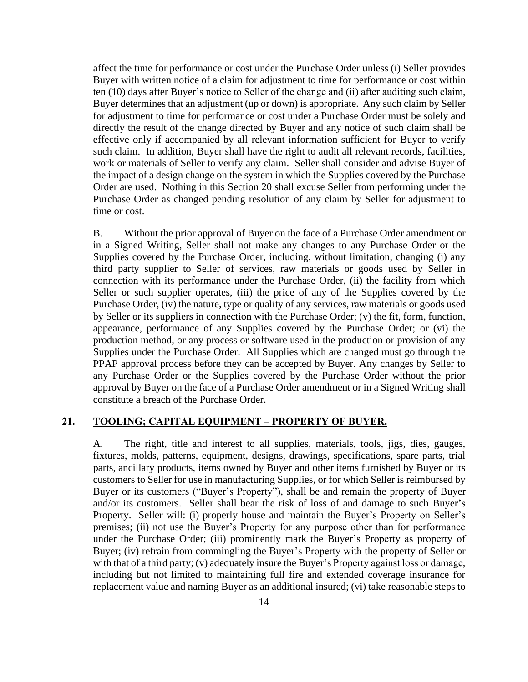affect the time for performance or cost under the Purchase Order unless (i) Seller provides Buyer with written notice of a claim for adjustment to time for performance or cost within ten (10) days after Buyer's notice to Seller of the change and (ii) after auditing such claim, Buyer determines that an adjustment (up or down) is appropriate. Any such claim by Seller for adjustment to time for performance or cost under a Purchase Order must be solely and directly the result of the change directed by Buyer and any notice of such claim shall be effective only if accompanied by all relevant information sufficient for Buyer to verify such claim. In addition, Buyer shall have the right to audit all relevant records, facilities, work or materials of Seller to verify any claim. Seller shall consider and advise Buyer of the impact of a design change on the system in which the Supplies covered by the Purchase Order are used. Nothing in this Section [20](#page-12-0) shall excuse Seller from performing under the Purchase Order as changed pending resolution of any claim by Seller for adjustment to time or cost.

B. Without the prior approval of Buyer on the face of a Purchase Order amendment or in a Signed Writing, Seller shall not make any changes to any Purchase Order or the Supplies covered by the Purchase Order, including, without limitation, changing (i) any third party supplier to Seller of services, raw materials or goods used by Seller in connection with its performance under the Purchase Order, (ii) the facility from which Seller or such supplier operates, (iii) the price of any of the Supplies covered by the Purchase Order, (iv) the nature, type or quality of any services, raw materials or goods used by Seller or its suppliers in connection with the Purchase Order; (v) the fit, form, function, appearance, performance of any Supplies covered by the Purchase Order; or (vi) the production method, or any process or software used in the production or provision of any Supplies under the Purchase Order. All Supplies which are changed must go through the PPAP approval process before they can be accepted by Buyer. Any changes by Seller to any Purchase Order or the Supplies covered by the Purchase Order without the prior approval by Buyer on the face of a Purchase Order amendment or in a Signed Writing shall constitute a breach of the Purchase Order.

## **21. TOOLING; CAPITAL EQUIPMENT – PROPERTY OF BUYER.**

A. The right, title and interest to all supplies, materials, tools, jigs, dies, gauges, fixtures, molds, patterns, equipment, designs, drawings, specifications, spare parts, trial parts, ancillary products, items owned by Buyer and other items furnished by Buyer or its customers to Seller for use in manufacturing Supplies, or for which Seller is reimbursed by Buyer or its customers ("Buyer's Property"), shall be and remain the property of Buyer and/or its customers. Seller shall bear the risk of loss of and damage to such Buyer's Property. Seller will: (i) properly house and maintain the Buyer's Property on Seller's premises; (ii) not use the Buyer's Property for any purpose other than for performance under the Purchase Order; (iii) prominently mark the Buyer's Property as property of Buyer; (iv) refrain from commingling the Buyer's Property with the property of Seller or with that of a third party; (v) adequately insure the Buyer's Property against loss or damage, including but not limited to maintaining full fire and extended coverage insurance for replacement value and naming Buyer as an additional insured; (vi) take reasonable steps to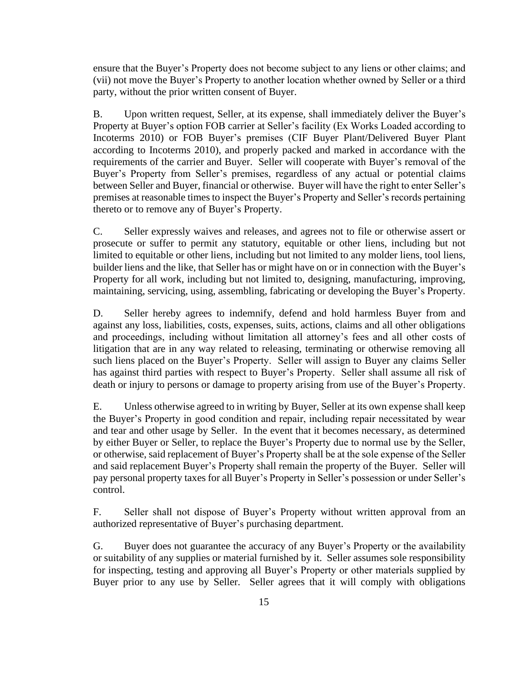ensure that the Buyer's Property does not become subject to any liens or other claims; and (vii) not move the Buyer's Property to another location whether owned by Seller or a third party, without the prior written consent of Buyer.

B. Upon written request, Seller, at its expense, shall immediately deliver the Buyer's Property at Buyer's option FOB carrier at Seller's facility (Ex Works Loaded according to Incoterms 2010) or FOB Buyer's premises (CIF Buyer Plant/Delivered Buyer Plant according to Incoterms 2010), and properly packed and marked in accordance with the requirements of the carrier and Buyer. Seller will cooperate with Buyer's removal of the Buyer's Property from Seller's premises, regardless of any actual or potential claims between Seller and Buyer, financial or otherwise. Buyer will have the right to enter Seller's premises at reasonable times to inspect the Buyer's Property and Seller's records pertaining thereto or to remove any of Buyer's Property.

C. Seller expressly waives and releases, and agrees not to file or otherwise assert or prosecute or suffer to permit any statutory, equitable or other liens, including but not limited to equitable or other liens, including but not limited to any molder liens, tool liens, builder liens and the like, that Seller has or might have on or in connection with the Buyer's Property for all work, including but not limited to, designing, manufacturing, improving, maintaining, servicing, using, assembling, fabricating or developing the Buyer's Property.

D. Seller hereby agrees to indemnify, defend and hold harmless Buyer from and against any loss, liabilities, costs, expenses, suits, actions, claims and all other obligations and proceedings, including without limitation all attorney's fees and all other costs of litigation that are in any way related to releasing, terminating or otherwise removing all such liens placed on the Buyer's Property. Seller will assign to Buyer any claims Seller has against third parties with respect to Buyer's Property. Seller shall assume all risk of death or injury to persons or damage to property arising from use of the Buyer's Property.

E. Unless otherwise agreed to in writing by Buyer, Seller at its own expense shall keep the Buyer's Property in good condition and repair, including repair necessitated by wear and tear and other usage by Seller. In the event that it becomes necessary, as determined by either Buyer or Seller, to replace the Buyer's Property due to normal use by the Seller, or otherwise, said replacement of Buyer's Property shall be at the sole expense of the Seller and said replacement Buyer's Property shall remain the property of the Buyer. Seller will pay personal property taxes for all Buyer's Property in Seller's possession or under Seller's control.

F. Seller shall not dispose of Buyer's Property without written approval from an authorized representative of Buyer's purchasing department.

G. Buyer does not guarantee the accuracy of any Buyer's Property or the availability or suitability of any supplies or material furnished by it. Seller assumes sole responsibility for inspecting, testing and approving all Buyer's Property or other materials supplied by Buyer prior to any use by Seller. Seller agrees that it will comply with obligations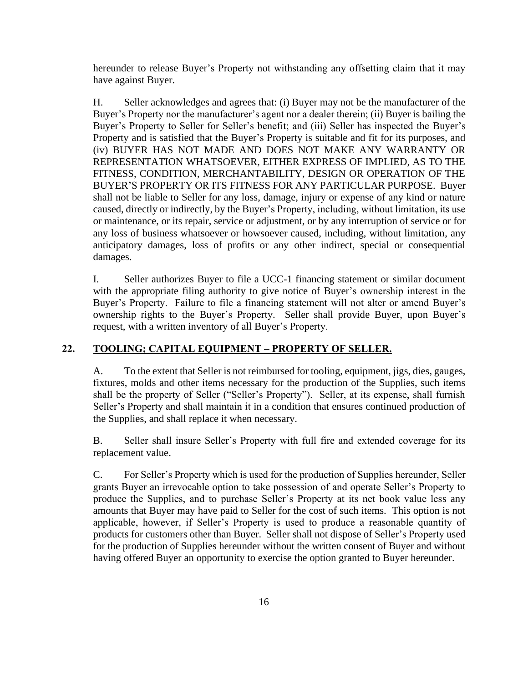hereunder to release Buyer's Property not withstanding any offsetting claim that it may have against Buyer.

H. Seller acknowledges and agrees that: (i) Buyer may not be the manufacturer of the Buyer's Property nor the manufacturer's agent nor a dealer therein; (ii) Buyer is bailing the Buyer's Property to Seller for Seller's benefit; and (iii) Seller has inspected the Buyer's Property and is satisfied that the Buyer's Property is suitable and fit for its purposes, and (iv) BUYER HAS NOT MADE AND DOES NOT MAKE ANY WARRANTY OR REPRESENTATION WHATSOEVER, EITHER EXPRESS OF IMPLIED, AS TO THE FITNESS, CONDITION, MERCHANTABILITY, DESIGN OR OPERATION OF THE BUYER'S PROPERTY OR ITS FITNESS FOR ANY PARTICULAR PURPOSE. Buyer shall not be liable to Seller for any loss, damage, injury or expense of any kind or nature caused, directly or indirectly, by the Buyer's Property, including, without limitation, its use or maintenance, or its repair, service or adjustment, or by any interruption of service or for any loss of business whatsoever or howsoever caused, including, without limitation, any anticipatory damages, loss of profits or any other indirect, special or consequential damages.

I. Seller authorizes Buyer to file a UCC-1 financing statement or similar document with the appropriate filing authority to give notice of Buyer's ownership interest in the Buyer's Property. Failure to file a financing statement will not alter or amend Buyer's ownership rights to the Buyer's Property. Seller shall provide Buyer, upon Buyer's request, with a written inventory of all Buyer's Property.

### **22. TOOLING; CAPITAL EQUIPMENT – PROPERTY OF SELLER.**

A. To the extent that Seller is not reimbursed for tooling, equipment, jigs, dies, gauges, fixtures, molds and other items necessary for the production of the Supplies, such items shall be the property of Seller ("Seller's Property"). Seller, at its expense, shall furnish Seller's Property and shall maintain it in a condition that ensures continued production of the Supplies, and shall replace it when necessary.

B. Seller shall insure Seller's Property with full fire and extended coverage for its replacement value.

C. For Seller's Property which is used for the production of Supplies hereunder, Seller grants Buyer an irrevocable option to take possession of and operate Seller's Property to produce the Supplies, and to purchase Seller's Property at its net book value less any amounts that Buyer may have paid to Seller for the cost of such items. This option is not applicable, however, if Seller's Property is used to produce a reasonable quantity of products for customers other than Buyer. Seller shall not dispose of Seller's Property used for the production of Supplies hereunder without the written consent of Buyer and without having offered Buyer an opportunity to exercise the option granted to Buyer hereunder.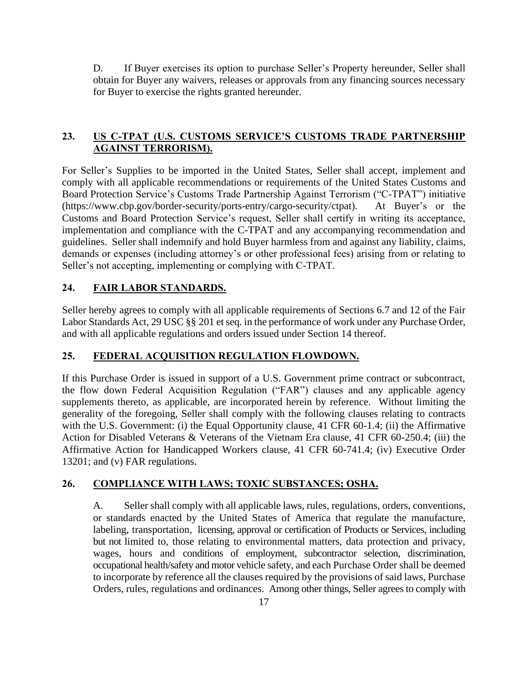D. If Buyer exercises its option to purchase Seller's Property hereunder, Seller shall obtain for Buyer any waivers, releases or approvals from any financing sources necessary for Buyer to exercise the rights granted hereunder.

# **23. US C-TPAT (U.S. CUSTOMS SERVICE'S CUSTOMS TRADE PARTNERSHIP AGAINST TERRORISM).**

For Seller's Supplies to be imported in the United States, Seller shall accept, implement and comply with all applicable recommendations or requirements of the United States Customs and Board Protection Service's Customs Trade Partnership Against Terrorism ("C-TPAT") initiative (https://www.cbp.gov/border-security/ports-entry/cargo-security/ctpat). At Buyer's or the Customs and Board Protection Service's request, Seller shall certify in writing its acceptance, implementation and compliance with the C-TPAT and any accompanying recommendation and guidelines. Seller shall indemnify and hold Buyer harmless from and against any liability, claims, demands or expenses (including attorney's or other professional fees) arising from or relating to Seller's not accepting, implementing or complying with C-TPAT.

# **24. FAIR LABOR STANDARDS.**

Seller hereby agrees to comply with all applicable requirements of Sections 6.7 and 12 of the Fair Labor Standards Act, 29 USC §§ 201 et seq. in the performance of work under any Purchase Order, and with all applicable regulations and orders issued under Section 14 thereof.

# **25. FEDERAL ACQUISITION REGULATION FLOWDOWN.**

If this Purchase Order is issued in support of a U.S. Government prime contract or subcontract, the flow down Federal Acquisition Regulation ("FAR") clauses and any applicable agency supplements thereto, as applicable, are incorporated herein by reference. Without limiting the generality of the foregoing, Seller shall comply with the following clauses relating to contracts with the U.S. Government: (i) the Equal Opportunity clause, 41 CFR 60-1.4; (ii) the Affirmative Action for Disabled Veterans & Veterans of the Vietnam Era clause, 41 CFR 60-250.4; (iii) the Affirmative Action for Handicapped Workers clause, 41 CFR 60-741.4; (iv) Executive Order 13201; and (v) FAR regulations.

# **26. COMPLIANCE WITH LAWS; TOXIC SUBSTANCES; OSHA.**

A. Seller shall comply with all applicable laws, rules, regulations, orders, conventions, or standards enacted by the United States of America that regulate the manufacture, labeling, transportation, licensing, approval or certification of Products or Services, including but not limited to, those relating to environmental matters, data protection and privacy, wages, hours and conditions of employment, subcontractor selection, discrimination, occupational health/safety and motor vehicle safety, and each Purchase Order shall be deemed to incorporate by reference all the clauses required by the provisions of said laws, Purchase Orders, rules, regulations and ordinances. Among other things, Seller agrees to comply with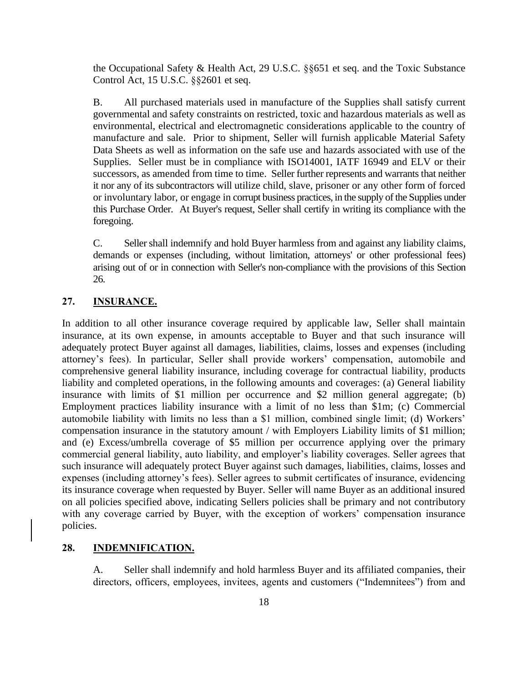the Occupational Safety & Health Act, 29 U.S.C. §§651 et seq. and the Toxic Substance Control Act, 15 U.S.C. §§2601 et seq.

B. All purchased materials used in manufacture of the Supplies shall satisfy current governmental and safety constraints on restricted, toxic and hazardous materials as well as environmental, electrical and electromagnetic considerations applicable to the country of manufacture and sale. Prior to shipment, Seller will furnish applicable Material Safety Data Sheets as well as information on the safe use and hazards associated with use of the Supplies. Seller must be in compliance with ISO14001, IATF 16949 and ELV or their successors, as amended from time to time. Seller further represents and warrants that neither it nor any of its subcontractors will utilize child, slave, prisoner or any other form of forced or involuntary labor, or engage in corrupt business practices, in the supply of the Supplies under this Purchase Order. At Buyer's request, Seller shall certify in writing its compliance with the foregoing.

C. Seller shall indemnify and hold Buyer harmless from and against any liability claims, demands or expenses (including, without limitation, attorneys' or other professional fees) arising out of or in connection with Seller's non-compliance with the provisions of this Section 26.

## **27. INSURANCE.**

In addition to all other insurance coverage required by applicable law, Seller shall maintain insurance, at its own expense, in amounts acceptable to Buyer and that such insurance will adequately protect Buyer against all damages, liabilities, claims, losses and expenses (including attorney's fees). In particular, Seller shall provide workers' compensation, automobile and comprehensive general liability insurance, including coverage for contractual liability, products liability and completed operations, in the following amounts and coverages: (a) General liability insurance with limits of \$1 million per occurrence and \$2 million general aggregate; (b) Employment practices liability insurance with a limit of no less than \$1m; (c) Commercial automobile liability with limits no less than a \$1 million, combined single limit; (d) Workers' compensation insurance in the statutory amount / with Employers Liability limits of \$1 million; and (e) Excess/umbrella coverage of \$5 million per occurrence applying over the primary commercial general liability, auto liability, and employer's liability coverages. Seller agrees that such insurance will adequately protect Buyer against such damages, liabilities, claims, losses and expenses (including attorney's fees). Seller agrees to submit certificates of insurance, evidencing its insurance coverage when requested by Buyer. Seller will name Buyer as an additional insured on all policies specified above, indicating Sellers policies shall be primary and not contributory with any coverage carried by Buyer, with the exception of workers' compensation insurance policies.

#### **28. INDEMNIFICATION.**

A. Seller shall indemnify and hold harmless Buyer and its affiliated companies, their directors, officers, employees, invitees, agents and customers ("Indemnitees") from and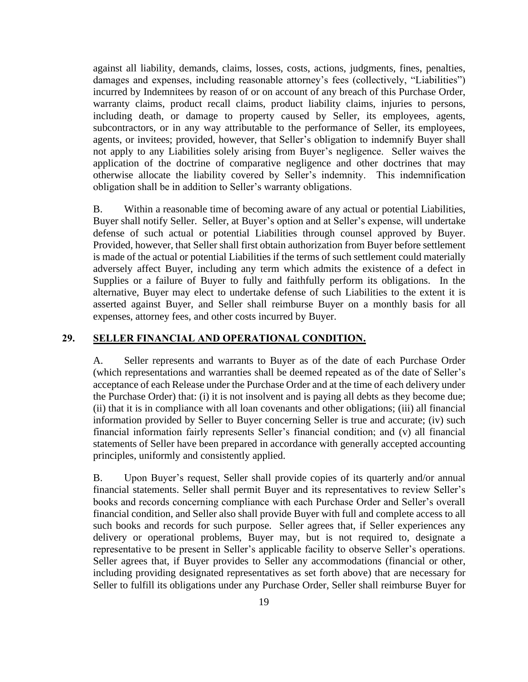against all liability, demands, claims, losses, costs, actions, judgments, fines, penalties, damages and expenses, including reasonable attorney's fees (collectively, "Liabilities") incurred by Indemnitees by reason of or on account of any breach of this Purchase Order, warranty claims, product recall claims, product liability claims, injuries to persons, including death, or damage to property caused by Seller, its employees, agents, subcontractors, or in any way attributable to the performance of Seller, its employees, agents, or invitees; provided, however, that Seller's obligation to indemnify Buyer shall not apply to any Liabilities solely arising from Buyer's negligence. Seller waives the application of the doctrine of comparative negligence and other doctrines that may otherwise allocate the liability covered by Seller's indemnity. This indemnification obligation shall be in addition to Seller's warranty obligations.

B. Within a reasonable time of becoming aware of any actual or potential Liabilities, Buyer shall notify Seller. Seller, at Buyer's option and at Seller's expense, will undertake defense of such actual or potential Liabilities through counsel approved by Buyer. Provided, however, that Seller shall first obtain authorization from Buyer before settlement is made of the actual or potential Liabilities if the terms of such settlement could materially adversely affect Buyer, including any term which admits the existence of a defect in Supplies or a failure of Buyer to fully and faithfully perform its obligations. In the alternative, Buyer may elect to undertake defense of such Liabilities to the extent it is asserted against Buyer, and Seller shall reimburse Buyer on a monthly basis for all expenses, attorney fees, and other costs incurred by Buyer.

## **29. SELLER FINANCIAL AND OPERATIONAL CONDITION.**

A. Seller represents and warrants to Buyer as of the date of each Purchase Order (which representations and warranties shall be deemed repeated as of the date of Seller's acceptance of each Release under the Purchase Order and at the time of each delivery under the Purchase Order) that: (i) it is not insolvent and is paying all debts as they become due; (ii) that it is in compliance with all loan covenants and other obligations; (iii) all financial information provided by Seller to Buyer concerning Seller is true and accurate; (iv) such financial information fairly represents Seller's financial condition; and (v) all financial statements of Seller have been prepared in accordance with generally accepted accounting principles, uniformly and consistently applied.

B. Upon Buyer's request, Seller shall provide copies of its quarterly and/or annual financial statements. Seller shall permit Buyer and its representatives to review Seller's books and records concerning compliance with each Purchase Order and Seller's overall financial condition, and Seller also shall provide Buyer with full and complete access to all such books and records for such purpose. Seller agrees that, if Seller experiences any delivery or operational problems, Buyer may, but is not required to, designate a representative to be present in Seller's applicable facility to observe Seller's operations. Seller agrees that, if Buyer provides to Seller any accommodations (financial or other, including providing designated representatives as set forth above) that are necessary for Seller to fulfill its obligations under any Purchase Order, Seller shall reimburse Buyer for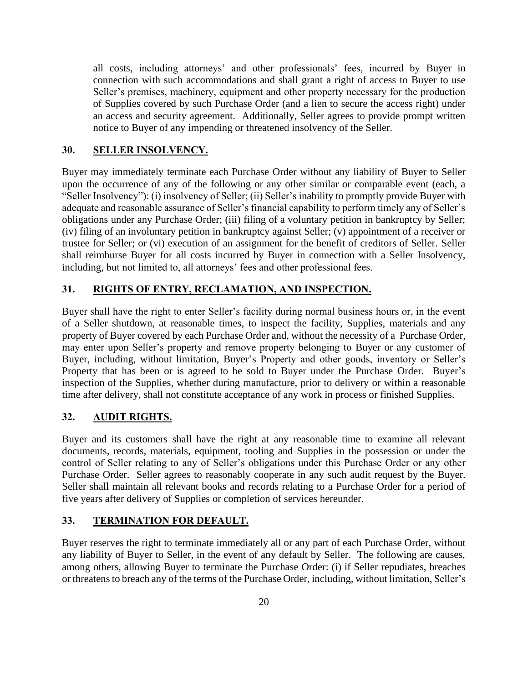all costs, including attorneys' and other professionals' fees, incurred by Buyer in connection with such accommodations and shall grant a right of access to Buyer to use Seller's premises, machinery, equipment and other property necessary for the production of Supplies covered by such Purchase Order (and a lien to secure the access right) under an access and security agreement. Additionally, Seller agrees to provide prompt written notice to Buyer of any impending or threatened insolvency of the Seller.

## **30. SELLER INSOLVENCY.**

Buyer may immediately terminate each Purchase Order without any liability of Buyer to Seller upon the occurrence of any of the following or any other similar or comparable event (each, a "Seller Insolvency"): (i) insolvency of Seller; (ii) Seller's inability to promptly provide Buyer with adequate and reasonable assurance of Seller's financial capability to perform timely any of Seller's obligations under any Purchase Order; (iii) filing of a voluntary petition in bankruptcy by Seller; (iv) filing of an involuntary petition in bankruptcy against Seller; (v) appointment of a receiver or trustee for Seller; or (vi) execution of an assignment for the benefit of creditors of Seller. Seller shall reimburse Buyer for all costs incurred by Buyer in connection with a Seller Insolvency, including, but not limited to, all attorneys' fees and other professional fees.

## **31. RIGHTS OF ENTRY, RECLAMATION, AND INSPECTION.**

Buyer shall have the right to enter Seller's facility during normal business hours or, in the event of a Seller shutdown, at reasonable times, to inspect the facility, Supplies, materials and any property of Buyer covered by each Purchase Order and, without the necessity of a Purchase Order, may enter upon Seller's property and remove property belonging to Buyer or any customer of Buyer, including, without limitation, Buyer's Property and other goods, inventory or Seller's Property that has been or is agreed to be sold to Buyer under the Purchase Order. Buyer's inspection of the Supplies, whether during manufacture, prior to delivery or within a reasonable time after delivery, shall not constitute acceptance of any work in process or finished Supplies.

## **32. AUDIT RIGHTS.**

Buyer and its customers shall have the right at any reasonable time to examine all relevant documents, records, materials, equipment, tooling and Supplies in the possession or under the control of Seller relating to any of Seller's obligations under this Purchase Order or any other Purchase Order. Seller agrees to reasonably cooperate in any such audit request by the Buyer. Seller shall maintain all relevant books and records relating to a Purchase Order for a period of five years after delivery of Supplies or completion of services hereunder.

### **33. TERMINATION FOR DEFAULT.**

Buyer reserves the right to terminate immediately all or any part of each Purchase Order, without any liability of Buyer to Seller, in the event of any default by Seller. The following are causes, among others, allowing Buyer to terminate the Purchase Order: (i) if Seller repudiates, breaches or threatens to breach any of the terms of the Purchase Order, including, without limitation, Seller's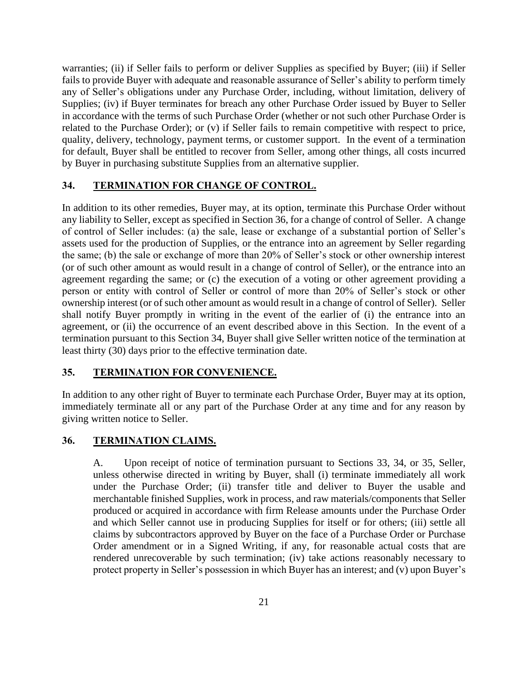warranties; (ii) if Seller fails to perform or deliver Supplies as specified by Buyer; (iii) if Seller fails to provide Buyer with adequate and reasonable assurance of Seller's ability to perform timely any of Seller's obligations under any Purchase Order, including, without limitation, delivery of Supplies; (iv) if Buyer terminates for breach any other Purchase Order issued by Buyer to Seller in accordance with the terms of such Purchase Order (whether or not such other Purchase Order is related to the Purchase Order); or (v) if Seller fails to remain competitive with respect to price, quality, delivery, technology, payment terms, or customer support. In the event of a termination for default, Buyer shall be entitled to recover from Seller, among other things, all costs incurred by Buyer in purchasing substitute Supplies from an alternative supplier.

### <span id="page-20-0"></span>**34. TERMINATION FOR CHANGE OF CONTROL.**

In addition to its other remedies, Buyer may, at its option, terminate this Purchase Order without any liability to Seller, except as specified in Section 36, for a change of control of Seller. A change of control of Seller includes: (a) the sale, lease or exchange of a substantial portion of Seller's assets used for the production of Supplies, or the entrance into an agreement by Seller regarding the same; (b) the sale or exchange of more than 20% of Seller's stock or other ownership interest (or of such other amount as would result in a change of control of Seller), or the entrance into an agreement regarding the same; or (c) the execution of a voting or other agreement providing a person or entity with control of Seller or control of more than 20% of Seller's stock or other ownership interest (or of such other amount as would result in a change of control of Seller). Seller shall notify Buyer promptly in writing in the event of the earlier of (i) the entrance into an agreement, or (ii) the occurrence of an event described above in this Section. In the event of a termination pursuant to this Section [34,](#page-20-0) Buyer shall give Seller written notice of the termination at least thirty (30) days prior to the effective termination date.

## **35. TERMINATION FOR CONVENIENCE.**

In addition to any other right of Buyer to terminate each Purchase Order, Buyer may at its option, immediately terminate all or any part of the Purchase Order at any time and for any reason by giving written notice to Seller.

### **36. TERMINATION CLAIMS.**

A. Upon receipt of notice of termination pursuant to Sections 33, 34, or 35, Seller, unless otherwise directed in writing by Buyer, shall (i) terminate immediately all work under the Purchase Order; (ii) transfer title and deliver to Buyer the usable and merchantable finished Supplies, work in process, and raw materials/components that Seller produced or acquired in accordance with firm Release amounts under the Purchase Order and which Seller cannot use in producing Supplies for itself or for others; (iii) settle all claims by subcontractors approved by Buyer on the face of a Purchase Order or Purchase Order amendment or in a Signed Writing, if any, for reasonable actual costs that are rendered unrecoverable by such termination; (iv) take actions reasonably necessary to protect property in Seller's possession in which Buyer has an interest; and (v) upon Buyer's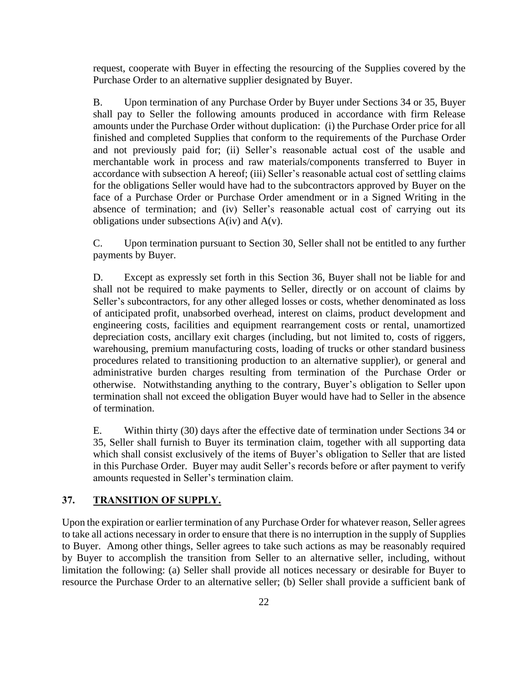request, cooperate with Buyer in effecting the resourcing of the Supplies covered by the Purchase Order to an alternative supplier designated by Buyer.

B. Upon termination of any Purchase Order by Buyer under Sections 34 or 35, Buyer shall pay to Seller the following amounts produced in accordance with firm Release amounts under the Purchase Order without duplication: (i) the Purchase Order price for all finished and completed Supplies that conform to the requirements of the Purchase Order and not previously paid for; (ii) Seller's reasonable actual cost of the usable and merchantable work in process and raw materials/components transferred to Buyer in accordance with subsection A hereof; (iii) Seller's reasonable actual cost of settling claims for the obligations Seller would have had to the subcontractors approved by Buyer on the face of a Purchase Order or Purchase Order amendment or in a Signed Writing in the absence of termination; and (iv) Seller's reasonable actual cost of carrying out its obligations under subsections  $A(iv)$  and  $A(v)$ .

C. Upon termination pursuant to Section 30, Seller shall not be entitled to any further payments by Buyer.

D. Except as expressly set forth in this Section 36, Buyer shall not be liable for and shall not be required to make payments to Seller, directly or on account of claims by Seller's subcontractors, for any other alleged losses or costs, whether denominated as loss of anticipated profit, unabsorbed overhead, interest on claims, product development and engineering costs, facilities and equipment rearrangement costs or rental, unamortized depreciation costs, ancillary exit charges (including, but not limited to, costs of riggers, warehousing, premium manufacturing costs, loading of trucks or other standard business procedures related to transitioning production to an alternative supplier), or general and administrative burden charges resulting from termination of the Purchase Order or otherwise. Notwithstanding anything to the contrary, Buyer's obligation to Seller upon termination shall not exceed the obligation Buyer would have had to Seller in the absence of termination.

E. Within thirty (30) days after the effective date of termination under Sections 34 or 35, Seller shall furnish to Buyer its termination claim, together with all supporting data which shall consist exclusively of the items of Buyer's obligation to Seller that are listed in this Purchase Order. Buyer may audit Seller's records before or after payment to verify amounts requested in Seller's termination claim.

## **37. TRANSITION OF SUPPLY.**

Upon the expiration or earlier termination of any Purchase Order for whatever reason, Seller agrees to take all actions necessary in order to ensure that there is no interruption in the supply of Supplies to Buyer. Among other things, Seller agrees to take such actions as may be reasonably required by Buyer to accomplish the transition from Seller to an alternative seller, including, without limitation the following: (a) Seller shall provide all notices necessary or desirable for Buyer to resource the Purchase Order to an alternative seller; (b) Seller shall provide a sufficient bank of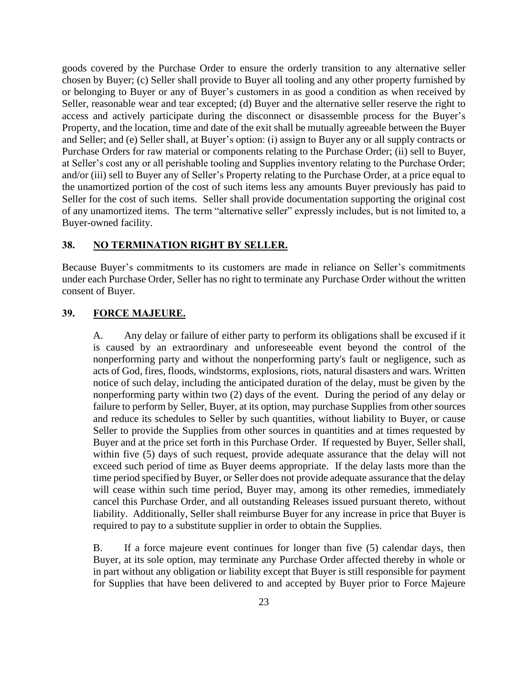goods covered by the Purchase Order to ensure the orderly transition to any alternative seller chosen by Buyer; (c) Seller shall provide to Buyer all tooling and any other property furnished by or belonging to Buyer or any of Buyer's customers in as good a condition as when received by Seller, reasonable wear and tear excepted; (d) Buyer and the alternative seller reserve the right to access and actively participate during the disconnect or disassemble process for the Buyer's Property, and the location, time and date of the exit shall be mutually agreeable between the Buyer and Seller; and (e) Seller shall, at Buyer's option: (i) assign to Buyer any or all supply contracts or Purchase Orders for raw material or components relating to the Purchase Order; (ii) sell to Buyer, at Seller's cost any or all perishable tooling and Supplies inventory relating to the Purchase Order; and/or (iii) sell to Buyer any of Seller's Property relating to the Purchase Order, at a price equal to the unamortized portion of the cost of such items less any amounts Buyer previously has paid to Seller for the cost of such items. Seller shall provide documentation supporting the original cost of any unamortized items. The term "alternative seller" expressly includes, but is not limited to, a Buyer-owned facility.

### **38. NO TERMINATION RIGHT BY SELLER.**

Because Buyer's commitments to its customers are made in reliance on Seller's commitments under each Purchase Order, Seller has no right to terminate any Purchase Order without the written consent of Buyer.

## **39. FORCE MAJEURE.**

A. Any delay or failure of either party to perform its obligations shall be excused if it is caused by an extraordinary and unforeseeable event beyond the control of the nonperforming party and without the nonperforming party's fault or negligence, such as acts of God, fires, floods, windstorms, explosions, riots, natural disasters and wars. Written notice of such delay, including the anticipated duration of the delay, must be given by the nonperforming party within two (2) days of the event. During the period of any delay or failure to perform by Seller, Buyer, at its option, may purchase Supplies from other sources and reduce its schedules to Seller by such quantities, without liability to Buyer, or cause Seller to provide the Supplies from other sources in quantities and at times requested by Buyer and at the price set forth in this Purchase Order. If requested by Buyer, Seller shall, within five (5) days of such request, provide adequate assurance that the delay will not exceed such period of time as Buyer deems appropriate. If the delay lasts more than the time period specified by Buyer, or Seller does not provide adequate assurance that the delay will cease within such time period, Buyer may, among its other remedies, immediately cancel this Purchase Order, and all outstanding Releases issued pursuant thereto, without liability. Additionally, Seller shall reimburse Buyer for any increase in price that Buyer is required to pay to a substitute supplier in order to obtain the Supplies.

B. If a force majeure event continues for longer than five (5) calendar days, then Buyer, at its sole option, may terminate any Purchase Order affected thereby in whole or in part without any obligation or liability except that Buyer is still responsible for payment for Supplies that have been delivered to and accepted by Buyer prior to Force Majeure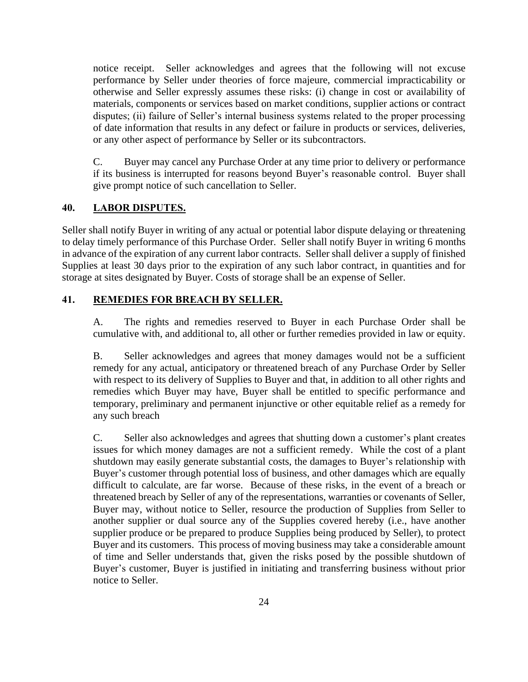notice receipt. Seller acknowledges and agrees that the following will not excuse performance by Seller under theories of force majeure, commercial impracticability or otherwise and Seller expressly assumes these risks: (i) change in cost or availability of materials, components or services based on market conditions, supplier actions or contract disputes; (ii) failure of Seller's internal business systems related to the proper processing of date information that results in any defect or failure in products or services, deliveries, or any other aspect of performance by Seller or its subcontractors.

C. Buyer may cancel any Purchase Order at any time prior to delivery or performance if its business is interrupted for reasons beyond Buyer's reasonable control. Buyer shall give prompt notice of such cancellation to Seller.

## **40. LABOR DISPUTES.**

Seller shall notify Buyer in writing of any actual or potential labor dispute delaying or threatening to delay timely performance of this Purchase Order. Seller shall notify Buyer in writing 6 months in advance of the expiration of any current labor contracts. Seller shall deliver a supply of finished Supplies at least 30 days prior to the expiration of any such labor contract, in quantities and for storage at sites designated by Buyer. Costs of storage shall be an expense of Seller.

# **41. REMEDIES FOR BREACH BY SELLER.**

A. The rights and remedies reserved to Buyer in each Purchase Order shall be cumulative with, and additional to, all other or further remedies provided in law or equity.

B. Seller acknowledges and agrees that money damages would not be a sufficient remedy for any actual, anticipatory or threatened breach of any Purchase Order by Seller with respect to its delivery of Supplies to Buyer and that, in addition to all other rights and remedies which Buyer may have, Buyer shall be entitled to specific performance and temporary, preliminary and permanent injunctive or other equitable relief as a remedy for any such breach

C. Seller also acknowledges and agrees that shutting down a customer's plant creates issues for which money damages are not a sufficient remedy. While the cost of a plant shutdown may easily generate substantial costs, the damages to Buyer's relationship with Buyer's customer through potential loss of business, and other damages which are equally difficult to calculate, are far worse. Because of these risks, in the event of a breach or threatened breach by Seller of any of the representations, warranties or covenants of Seller, Buyer may, without notice to Seller, resource the production of Supplies from Seller to another supplier or dual source any of the Supplies covered hereby (i.e., have another supplier produce or be prepared to produce Supplies being produced by Seller), to protect Buyer and its customers. This process of moving business may take a considerable amount of time and Seller understands that, given the risks posed by the possible shutdown of Buyer's customer, Buyer is justified in initiating and transferring business without prior notice to Seller.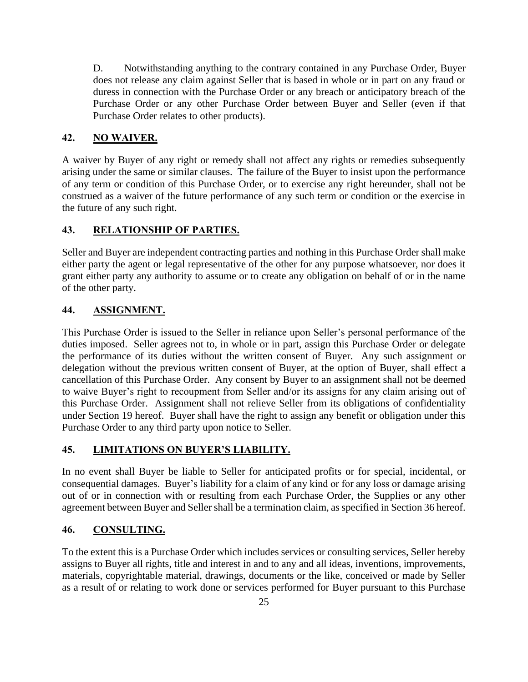D. Notwithstanding anything to the contrary contained in any Purchase Order, Buyer does not release any claim against Seller that is based in whole or in part on any fraud or duress in connection with the Purchase Order or any breach or anticipatory breach of the Purchase Order or any other Purchase Order between Buyer and Seller (even if that Purchase Order relates to other products).

## **42. NO WAIVER.**

A waiver by Buyer of any right or remedy shall not affect any rights or remedies subsequently arising under the same or similar clauses. The failure of the Buyer to insist upon the performance of any term or condition of this Purchase Order, or to exercise any right hereunder, shall not be construed as a waiver of the future performance of any such term or condition or the exercise in the future of any such right.

## **43. RELATIONSHIP OF PARTIES.**

Seller and Buyer are independent contracting parties and nothing in this Purchase Order shall make either party the agent or legal representative of the other for any purpose whatsoever, nor does it grant either party any authority to assume or to create any obligation on behalf of or in the name of the other party.

## **44. ASSIGNMENT.**

This Purchase Order is issued to the Seller in reliance upon Seller's personal performance of the duties imposed. Seller agrees not to, in whole or in part, assign this Purchase Order or delegate the performance of its duties without the written consent of Buyer. Any such assignment or delegation without the previous written consent of Buyer, at the option of Buyer, shall effect a cancellation of this Purchase Order. Any consent by Buyer to an assignment shall not be deemed to waive Buyer's right to recoupment from Seller and/or its assigns for any claim arising out of this Purchase Order. Assignment shall not relieve Seller from its obligations of confidentiality under Section 19 hereof. Buyer shall have the right to assign any benefit or obligation under this Purchase Order to any third party upon notice to Seller.

## **45. LIMITATIONS ON BUYER'S LIABILITY.**

In no event shall Buyer be liable to Seller for anticipated profits or for special, incidental, or consequential damages. Buyer's liability for a claim of any kind or for any loss or damage arising out of or in connection with or resulting from each Purchase Order, the Supplies or any other agreement between Buyer and Seller shall be a termination claim, as specified in Section 36 hereof.

## **46. CONSULTING.**

To the extent this is a Purchase Order which includes services or consulting services, Seller hereby assigns to Buyer all rights, title and interest in and to any and all ideas, inventions, improvements, materials, copyrightable material, drawings, documents or the like, conceived or made by Seller as a result of or relating to work done or services performed for Buyer pursuant to this Purchase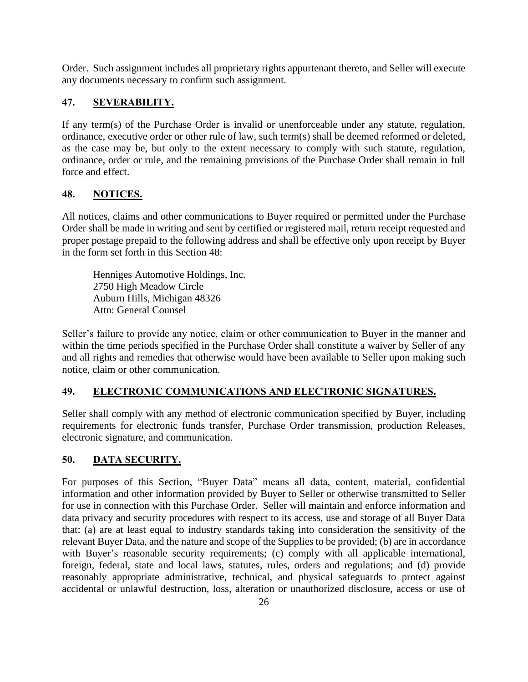Order. Such assignment includes all proprietary rights appurtenant thereto, and Seller will execute any documents necessary to confirm such assignment.

# **47. SEVERABILITY.**

If any term(s) of the Purchase Order is invalid or unenforceable under any statute, regulation, ordinance, executive order or other rule of law, such term(s) shall be deemed reformed or deleted, as the case may be, but only to the extent necessary to comply with such statute, regulation, ordinance, order or rule, and the remaining provisions of the Purchase Order shall remain in full force and effect.

# **48. NOTICES.**

All notices, claims and other communications to Buyer required or permitted under the Purchase Order shall be made in writing and sent by certified or registered mail, return receipt requested and proper postage prepaid to the following address and shall be effective only upon receipt by Buyer in the form set forth in this Section 48:

Henniges Automotive Holdings, Inc. 2750 High Meadow Circle Auburn Hills, Michigan 48326 Attn: General Counsel

Seller's failure to provide any notice, claim or other communication to Buyer in the manner and within the time periods specified in the Purchase Order shall constitute a waiver by Seller of any and all rights and remedies that otherwise would have been available to Seller upon making such notice, claim or other communication.

# **49. ELECTRONIC COMMUNICATIONS AND ELECTRONIC SIGNATURES.**

Seller shall comply with any method of electronic communication specified by Buyer, including requirements for electronic funds transfer, Purchase Order transmission, production Releases, electronic signature, and communication.

# **50. DATA SECURITY.**

For purposes of this Section, "Buyer Data" means all data, content, material, confidential information and other information provided by Buyer to Seller or otherwise transmitted to Seller for use in connection with this Purchase Order. Seller will maintain and enforce information and data privacy and security procedures with respect to its access, use and storage of all Buyer Data that: (a) are at least equal to industry standards taking into consideration the sensitivity of the relevant Buyer Data, and the nature and scope of the Supplies to be provided; (b) are in accordance with Buyer's reasonable security requirements; (c) comply with all applicable international, foreign, federal, state and local laws, statutes, rules, orders and regulations; and (d) provide reasonably appropriate administrative, technical, and physical safeguards to protect against accidental or unlawful destruction, loss, alteration or unauthorized disclosure, access or use of